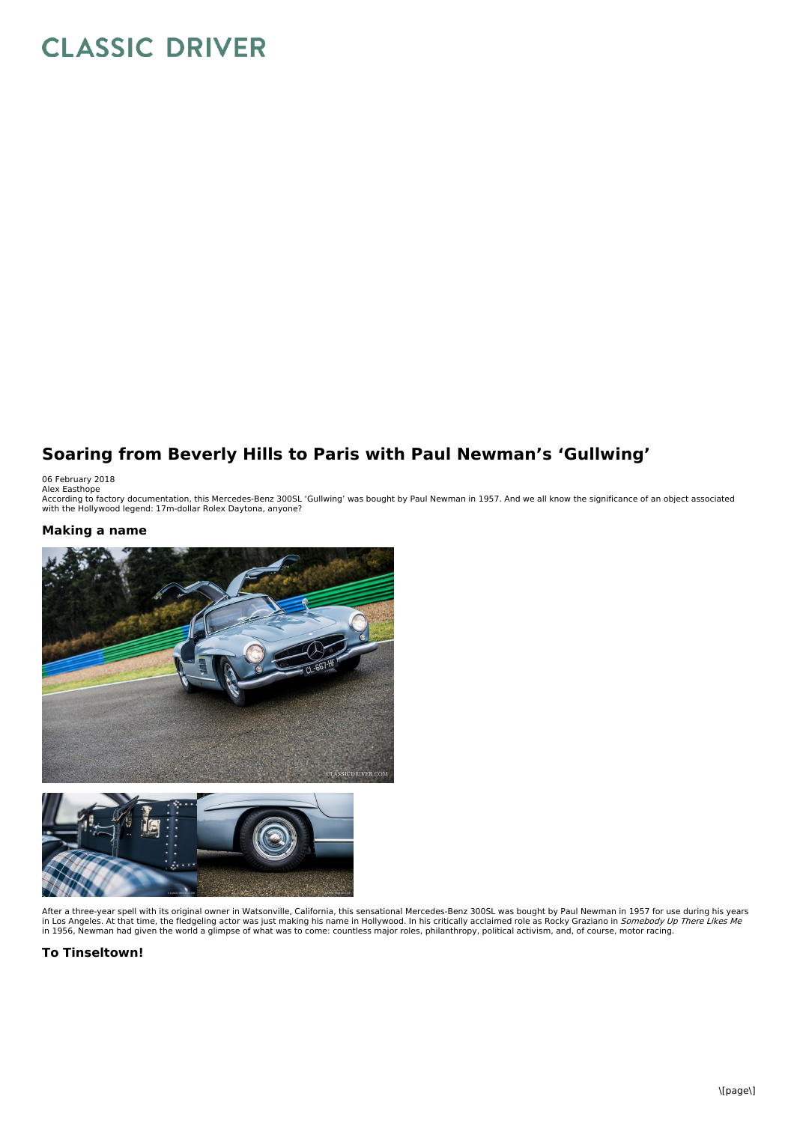# **CLASSIC DRIVER**

## **Soaring from Beverly Hills to Paris with Paul Newman's 'Gullwing'**

06 February 2018<br>Alex Easthope<br>According to factory documentation, this Mercedes-Benz 300SL 'Gullwing' was bought by Paul Newman in 1957. And we all know the significance of an object associated<br>According to factory docume

### **Making a name**





After a three-year spell with its original owner in Watsonville, California, this sensational Mercedes-Benz 300SL was bought by Paul Newman in 1957 for use during his years<br>in Los Angeles. At that time, the fledgeling acto

**To Tinseltown!**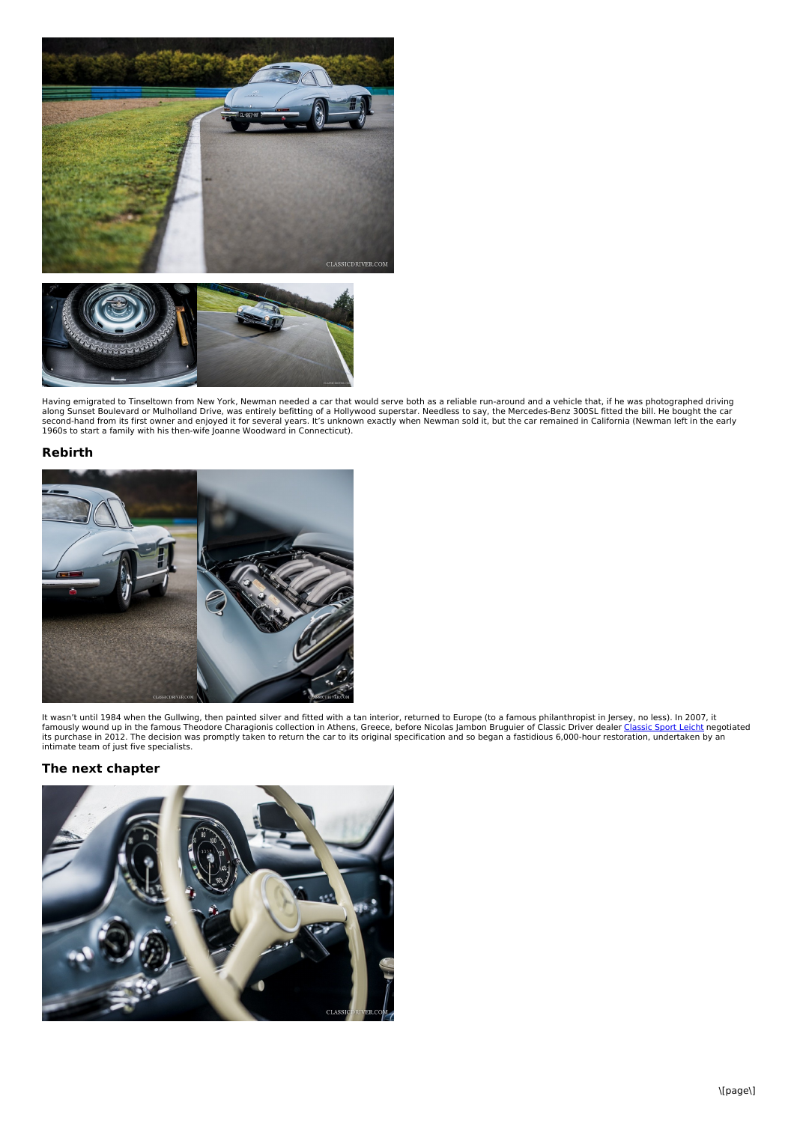

Having emigrated to Tinseltown from New York, Newman needed a car that would serve both as a reliable run-around and a vehicle that, if he was photographed driving<br>along Sunset Boulevard or Mulholland Drive, was entirely b

#### **Rebirth**



It wasn't until 1984 when the Gullwing, then painted silver and fitted with a tan interior, returned to Europe (to a famous philanthropist in Jersey, no less). In 2007, it<br>famously wound up in the famous Theodore Charagion intimate team of just five specialists.

#### **The next chapter**